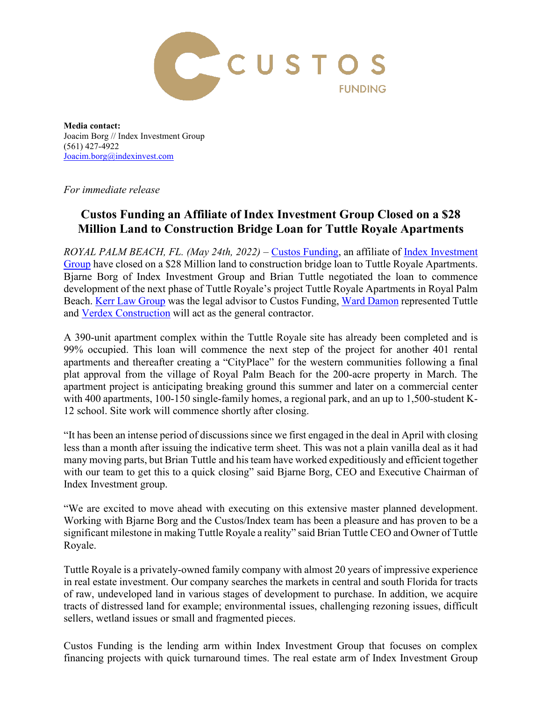

**Media contact:** Joacim Borg // Index Investment Group (561) 427-4922 [Joacim.borg@indexinvest.com](mailto:Joacim.borg@indexinvest.com)

*For immediate release*

## **Custos Funding an Affiliate of Index Investment Group Closed on a \$28 Million Land to Construction Bridge Loan for Tuttle Royale Apartments**

*ROYAL PALM BEACH, FL. (May 24th, 2022)* – [Custos Funding,](https://www.custoscapital.com/) an affiliate of *Index Investment* [Group](http://indexinvest.com/) have closed on a \$28 Million land to construction bridge loan to Tuttle Royale Apartments. Bjarne Borg of Index Investment Group and Brian Tuttle negotiated the loan to commence development of the next phase of Tuttle Royale's project Tuttle Royale Apartments in Royal Palm Beach. [Kerr Law Group](https://russellkerrlaw.com/) was the legal advisor to Custos Funding, [Ward Damon](https://www.warddamon.com/) represented Tuttle and [Verdex Construction](https://verdex.com/) will act as the general contractor.

A 390-unit apartment complex within the Tuttle Royale site has already been completed and is 99% occupied. This loan will commence the next step of the project for another 401 rental apartments and thereafter creating a "CityPlace" for the western communities following a final plat approval from the village of Royal Palm Beach for the 200-acre property in March. The apartment project is anticipating breaking ground this summer and later on a commercial center with 400 apartments, 100-150 single-family homes, a regional park, and an up to 1,500-student K-12 school. Site work will commence shortly after closing.

"It has been an intense period of discussions since we first engaged in the deal in April with closing less than a month after issuing the indicative term sheet. This was not a plain vanilla deal as it had many moving parts, but Brian Tuttle and his team have worked expeditiously and efficient together with our team to get this to a quick closing" said Bjarne Borg, CEO and Executive Chairman of Index Investment group.

"We are excited to move ahead with executing on this extensive master planned development. Working with Bjarne Borg and the Custos/Index team has been a pleasure and has proven to be a significant milestone in making Tuttle Royale a reality" said Brian Tuttle CEO and Owner of Tuttle Royale.

Tuttle Royale is a privately-owned family company with almost 20 years of impressive experience in real estate investment. Our company searches the markets in central and south Florida for tracts of raw, undeveloped land in various stages of development to purchase. In addition, we acquire tracts of distressed land for example; environmental issues, challenging rezoning issues, difficult sellers, wetland issues or small and fragmented pieces.

Custos Funding is the lending arm within Index Investment Group that focuses on complex financing projects with quick turnaround times. The real estate arm of Index Investment Group